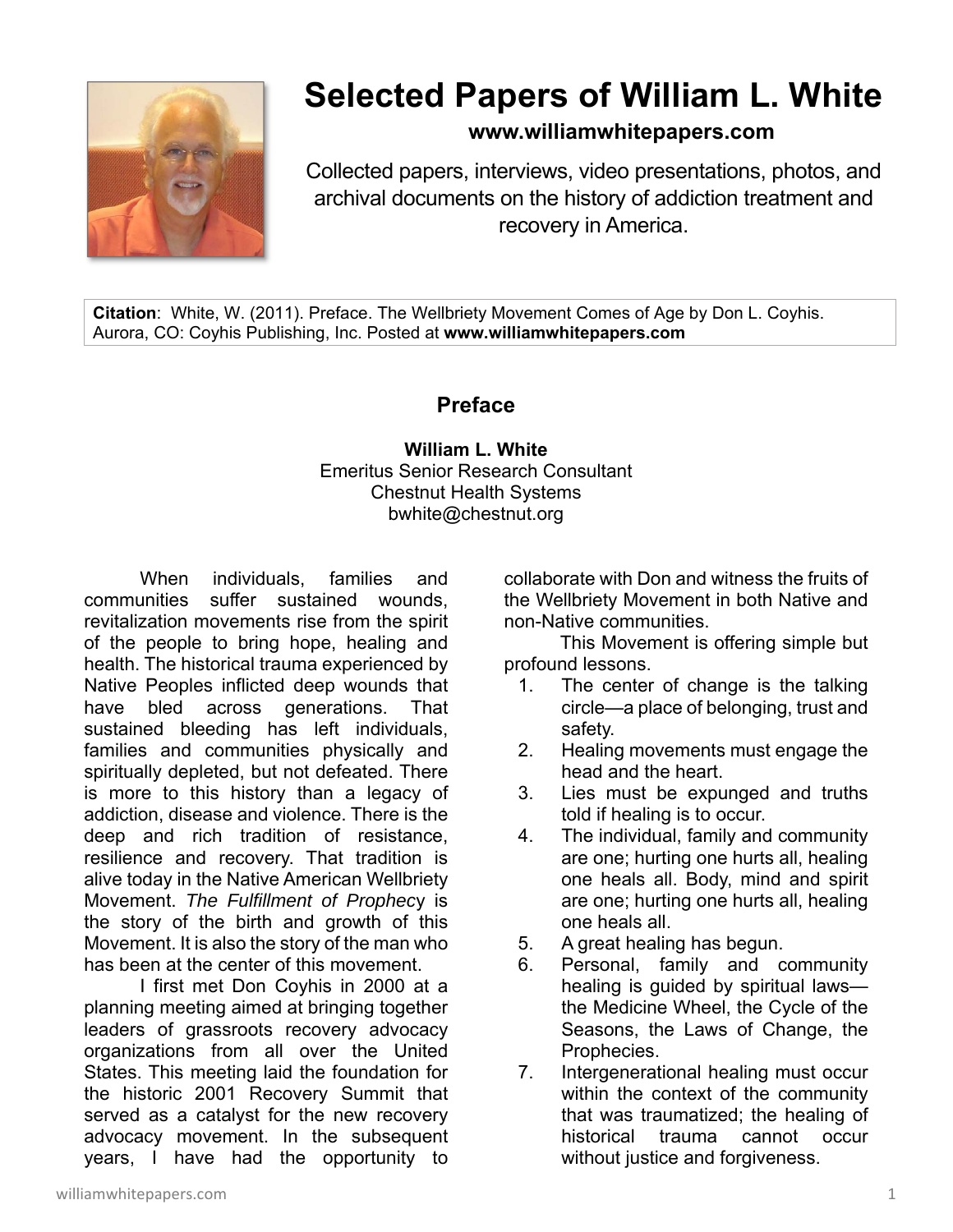

## **Selected Papers of William L. White**

**www.williamwhitepapers.com**

Collected papers, interviews, video presentations, photos, and archival documents on the history of addiction treatment and recovery in America.

**Citation**: White, W. (2011). Preface. The Wellbriety Movement Comes of Age by Don L. Coyhis. Aurora, CO: Coyhis Publishing, Inc. Posted at **www.williamwhitepapers.com** 

## **Preface**

## **William L. White**  Emeritus Senior Research Consultant Chestnut Health Systems bwhite@chestnut.org

When individuals, families and communities suffer sustained wounds, revitalization movements rise from the spirit of the people to bring hope, healing and health. The historical trauma experienced by Native Peoples inflicted deep wounds that have bled across generations. That sustained bleeding has left individuals, families and communities physically and spiritually depleted, but not defeated. There is more to this history than a legacy of addiction, disease and violence. There is the deep and rich tradition of resistance, resilience and recovery. That tradition is alive today in the Native American Wellbriety Movement. *The Fulfillment of Prophec*y is the story of the birth and growth of this Movement. It is also the story of the man who has been at the center of this movement.

I first met Don Coyhis in 2000 at a planning meeting aimed at bringing together leaders of grassroots recovery advocacy organizations from all over the United States. This meeting laid the foundation for the historic 2001 Recovery Summit that served as a catalyst for the new recovery advocacy movement. In the subsequent years, I have had the opportunity to collaborate with Don and witness the fruits of the Wellbriety Movement in both Native and non-Native communities.

This Movement is offering simple but profound lessons.

- 1. The center of change is the talking circle—a place of belonging, trust and safety.
- 2. Healing movements must engage the head and the heart.
- 3. Lies must be expunged and truths told if healing is to occur.
- 4. The individual, family and community are one; hurting one hurts all, healing one heals all. Body, mind and spirit are one; hurting one hurts all, healing one heals all.
- 5. A great healing has begun.
- 6. Personal, family and community healing is guided by spiritual laws the Medicine Wheel, the Cycle of the Seasons, the Laws of Change, the Prophecies.
- 7. Intergenerational healing must occur within the context of the community that was traumatized; the healing of historical trauma cannot occur without justice and forgiveness.